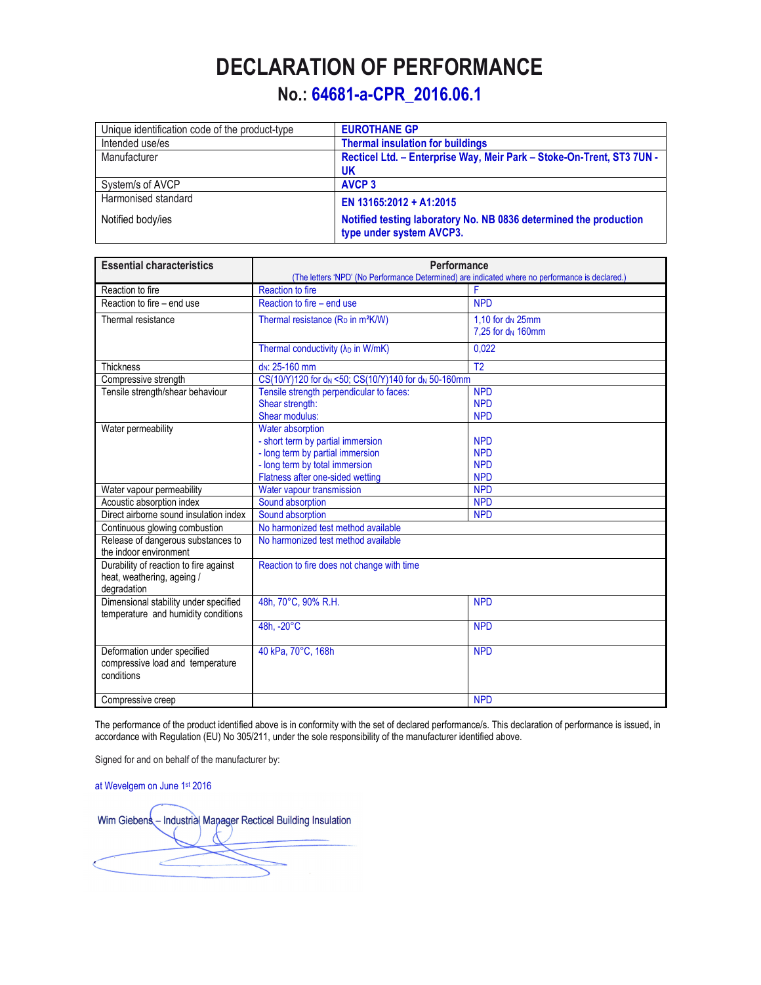## **DECLARATION OF PERFORMANCE**

## **No.: 64681-a-CPR\_2016.06.1**

| Unique identification code of the product-type | <b>EUROTHANE GP</b>                                                                           |  |
|------------------------------------------------|-----------------------------------------------------------------------------------------------|--|
| Intended use/es                                | <b>Thermal insulation for buildings</b>                                                       |  |
| Manufacturer                                   | Recticel Ltd. - Enterprise Way, Meir Park - Stoke-On-Trent, ST3 7UN -                         |  |
|                                                | <b>UK</b>                                                                                     |  |
| System/s of AVCP                               | <b>AVCP 3</b>                                                                                 |  |
| Harmonised standard                            | EN 13165:2012 + A1:2015                                                                       |  |
| Notified body/ies                              | Notified testing laboratory No. NB 0836 determined the production<br>type under system AVCP3. |  |

| <b>Essential characteristics</b>       | Performance                                                                                     |                               |  |
|----------------------------------------|-------------------------------------------------------------------------------------------------|-------------------------------|--|
|                                        | (The letters 'NPD' (No Performance Determined) are indicated where no performance is declared.) |                               |  |
| Reaction to fire                       | <b>Reaction to fire</b>                                                                         | F                             |  |
| Reaction to fire - end use             | Reaction to fire - end use                                                                      | <b>NPD</b>                    |  |
| Thermal resistance                     | Thermal resistance (R <sub>D</sub> in m <sup>2</sup> K/W)                                       | 1.10 for d <sub>N</sub> 25mm  |  |
|                                        |                                                                                                 | 7.25 for d <sub>N</sub> 160mm |  |
|                                        | Thermal conductivity (λ <sub>D</sub> in W/mK)                                                   | 0,022                         |  |
| <b>Thickness</b>                       | d <sub>N</sub> : 25-160 mm                                                                      | T <sub>2</sub>                |  |
| Compressive strength                   | CS(10/Y)120 for d <sub>N</sub> <50; CS(10/Y)140 for d <sub>N</sub> 50-160mm                     |                               |  |
| Tensile strength/shear behaviour       | Tensile strength perpendicular to faces:                                                        | <b>NPD</b>                    |  |
|                                        | Shear strength:                                                                                 | <b>NPD</b>                    |  |
|                                        | Shear modulus:                                                                                  | <b>NPD</b>                    |  |
| Water permeability                     | Water absorption                                                                                |                               |  |
|                                        | - short term by partial immersion                                                               | <b>NPD</b>                    |  |
|                                        | - long term by partial immersion                                                                | <b>NPD</b>                    |  |
|                                        | - long term by total immersion                                                                  | <b>NPD</b>                    |  |
|                                        | Flatness after one-sided wetting                                                                | <b>NPD</b>                    |  |
| Water vapour permeability              | Water vapour transmission                                                                       | <b>NPD</b>                    |  |
| Acoustic absorption index              | Sound absorption                                                                                | <b>NPD</b>                    |  |
| Direct airborne sound insulation index | Sound absorption                                                                                | <b>NPD</b>                    |  |
| Continuous glowing combustion          | No harmonized test method available                                                             |                               |  |
| Release of dangerous substances to     | No harmonized test method available                                                             |                               |  |
| the indoor environment                 |                                                                                                 |                               |  |
| Durability of reaction to fire against | Reaction to fire does not change with time                                                      |                               |  |
| heat, weathering, ageing /             |                                                                                                 |                               |  |
| degradation                            |                                                                                                 |                               |  |
| Dimensional stability under specified  | 48h, 70°C, 90% R.H.                                                                             | <b>NPD</b>                    |  |
| temperature and humidity conditions    |                                                                                                 |                               |  |
|                                        | 48h, -20°C                                                                                      | <b>NPD</b>                    |  |
|                                        |                                                                                                 |                               |  |
| Deformation under specified            | 40 kPa, 70°C, 168h                                                                              | <b>NPD</b>                    |  |
| compressive load and temperature       |                                                                                                 |                               |  |
| conditions                             |                                                                                                 |                               |  |
|                                        |                                                                                                 |                               |  |
| Compressive creep                      |                                                                                                 | <b>NPD</b>                    |  |

The performance of the product identified above is in conformity with the set of declared performance/s. This declaration of performance is issued, in accordance with Regulation (EU) No 305/211, under the sole responsibility of the manufacturer identified above.

Signed for and on behalf of the manufacturer by:

at Wevelgem on June 1st 2016

Wim Giebens - Industrial Manager Recticel Building Insulation